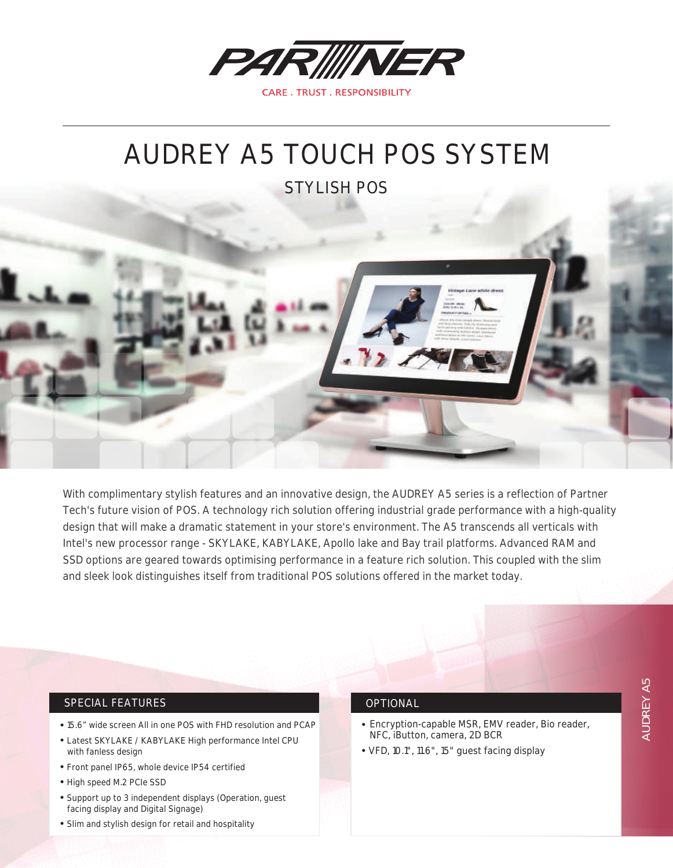

# AUDREY A5 TOUCH POS SYSTEM

STYLISH POS



With complimentary stylish features and an innovative design, the AUDREY A5 series is a reflection of Partner Tech's future vision of POS. A technology rich solution offering industrial grade performance with a high-quality design that will make a dramatic statement in your store's environment. The A5 transcends all verticals with Intel's new processor range - SKYLAKE, KABYLAKE, Apollo lake and Bay trail platforms. Advanced RAM and SSD options are geared towards optimising performance in a feature rich solution. This coupled with the slim and sleek look distinguishes itself from traditional POS solutions offered in the market today.

## SPECIAL FEATURES

- 15.6" wide screen All in one POS with FHD resolution and PCAP
- Latest SKYLAKE / KABYLAKE High performance Intel CPU with fanless design
- Front panel IP65, whole device IP54 certified
- High speed M.2 PCIe SSD
- Support up to 3 independent displays (Operation, guest facing display and Digital Signage)
- Slim and stylish design for retail and hospitality

#### OPTIONAL

- Encryption-capable MSR, EMV reader, Bio reader, NFC, iButton, camera, 2D BCR
- VFD, 10.1", 11.6", 15" guest facing display